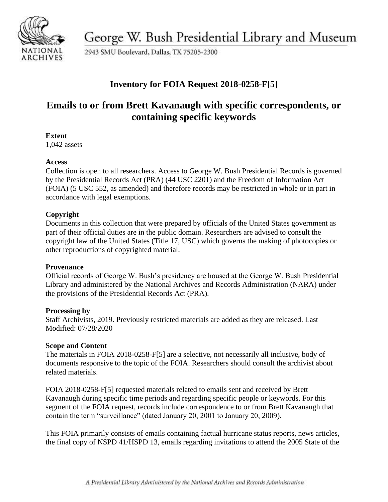

George W. Bush Presidential Library and Museum

2943 SMU Boulevard, Dallas, TX 75205-2300

# **Inventory for FOIA Request 2018-0258-F[5]**

# **Emails to or from Brett Kavanaugh with specific correspondents, or containing specific keywords**

### **Extent**

1,042 assets

### **Access**

Collection is open to all researchers. Access to George W. Bush Presidential Records is governed by the Presidential Records Act (PRA) (44 USC 2201) and the Freedom of Information Act (FOIA) (5 USC 552, as amended) and therefore records may be restricted in whole or in part in accordance with legal exemptions.

## **Copyright**

Documents in this collection that were prepared by officials of the United States government as part of their official duties are in the public domain. Researchers are advised to consult the copyright law of the United States (Title 17, USC) which governs the making of photocopies or other reproductions of copyrighted material.

### **Provenance**

Official records of George W. Bush's presidency are housed at the George W. Bush Presidential Library and administered by the National Archives and Records Administration (NARA) under the provisions of the Presidential Records Act (PRA).

### **Processing by**

Staff Archivists, 2019. Previously restricted materials are added as they are released. Last Modified: 07/28/2020

### **Scope and Content**

The materials in FOIA 2018-0258-F[5] are a selective, not necessarily all inclusive, body of documents responsive to the topic of the FOIA. Researchers should consult the archivist about related materials.

FOIA 2018-0258-F[5] requested materials related to emails sent and received by Brett Kavanaugh during specific time periods and regarding specific people or keywords. For this segment of the FOIA request, records include correspondence to or from Brett Kavanaugh that contain the term "surveillance" (dated January 20, 2001 to January 20, 2009).

This FOIA primarily consists of emails containing factual hurricane status reports, news articles, the final copy of NSPD 41/HSPD 13, emails regarding invitations to attend the 2005 State of the